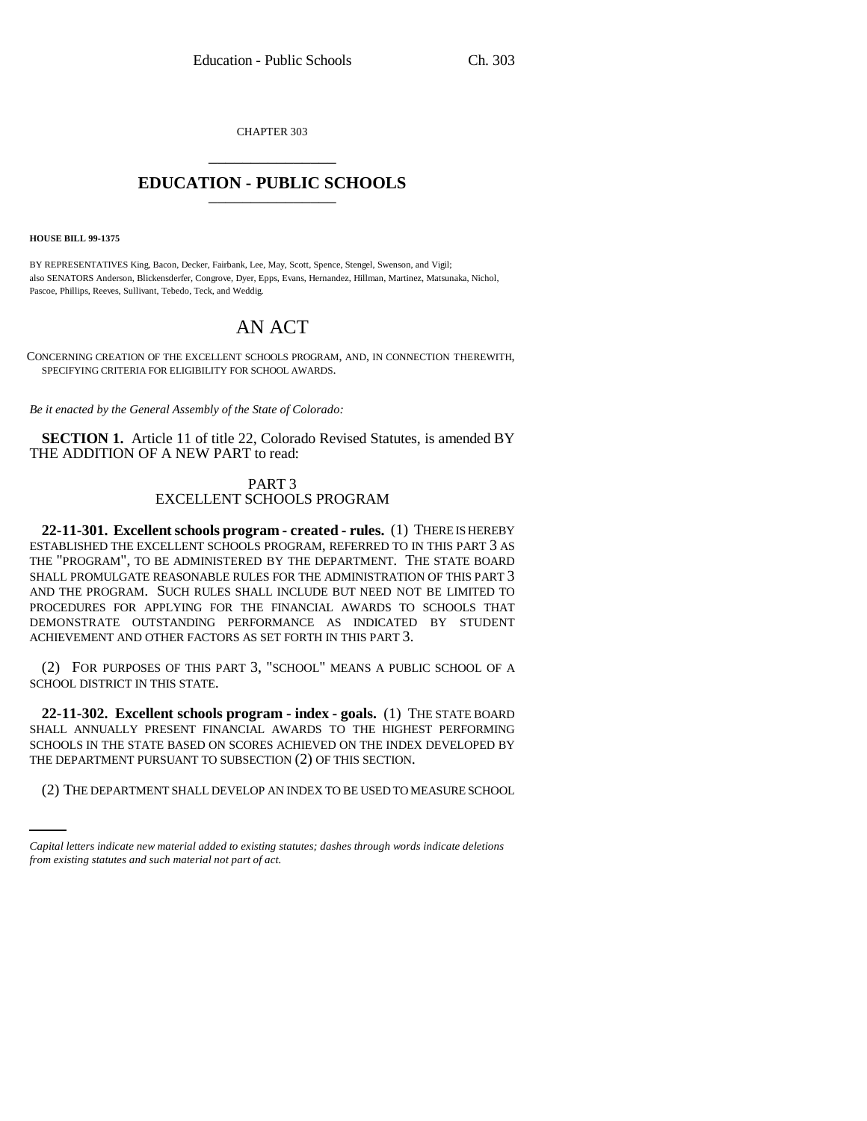CHAPTER 303 \_\_\_\_\_\_\_\_\_\_\_\_\_\_\_

## **EDUCATION - PUBLIC SCHOOLS** \_\_\_\_\_\_\_\_\_\_\_\_\_\_\_

**HOUSE BILL 99-1375**

BY REPRESENTATIVES King, Bacon, Decker, Fairbank, Lee, May, Scott, Spence, Stengel, Swenson, and Vigil; also SENATORS Anderson, Blickensderfer, Congrove, Dyer, Epps, Evans, Hernandez, Hillman, Martinez, Matsunaka, Nichol, Pascoe, Phillips, Reeves, Sullivant, Tebedo, Teck, and Weddig.

## AN ACT

CONCERNING CREATION OF THE EXCELLENT SCHOOLS PROGRAM, AND, IN CONNECTION THEREWITH, SPECIFYING CRITERIA FOR ELIGIBILITY FOR SCHOOL AWARDS.

*Be it enacted by the General Assembly of the State of Colorado:*

**SECTION 1.** Article 11 of title 22, Colorado Revised Statutes, is amended BY THE ADDITION OF A NEW PART to read:

## PART 3 EXCELLENT SCHOOLS PROGRAM

**22-11-301. Excellent schools program - created - rules.** (1) THERE IS HEREBY ESTABLISHED THE EXCELLENT SCHOOLS PROGRAM, REFERRED TO IN THIS PART 3 AS THE "PROGRAM", TO BE ADMINISTERED BY THE DEPARTMENT. THE STATE BOARD SHALL PROMULGATE REASONABLE RULES FOR THE ADMINISTRATION OF THIS PART 3 AND THE PROGRAM. SUCH RULES SHALL INCLUDE BUT NEED NOT BE LIMITED TO PROCEDURES FOR APPLYING FOR THE FINANCIAL AWARDS TO SCHOOLS THAT DEMONSTRATE OUTSTANDING PERFORMANCE AS INDICATED BY STUDENT ACHIEVEMENT AND OTHER FACTORS AS SET FORTH IN THIS PART 3.

(2) FOR PURPOSES OF THIS PART 3, "SCHOOL" MEANS A PUBLIC SCHOOL OF A SCHOOL DISTRICT IN THIS STATE.

THE DEPARTMENT PURSUANT TO SUBSECTION (2) OF THIS SECTION. **22-11-302. Excellent schools program - index - goals.** (1) THE STATE BOARD SHALL ANNUALLY PRESENT FINANCIAL AWARDS TO THE HIGHEST PERFORMING SCHOOLS IN THE STATE BASED ON SCORES ACHIEVED ON THE INDEX DEVELOPED BY

(2) THE DEPARTMENT SHALL DEVELOP AN INDEX TO BE USED TO MEASURE SCHOOL

*Capital letters indicate new material added to existing statutes; dashes through words indicate deletions from existing statutes and such material not part of act.*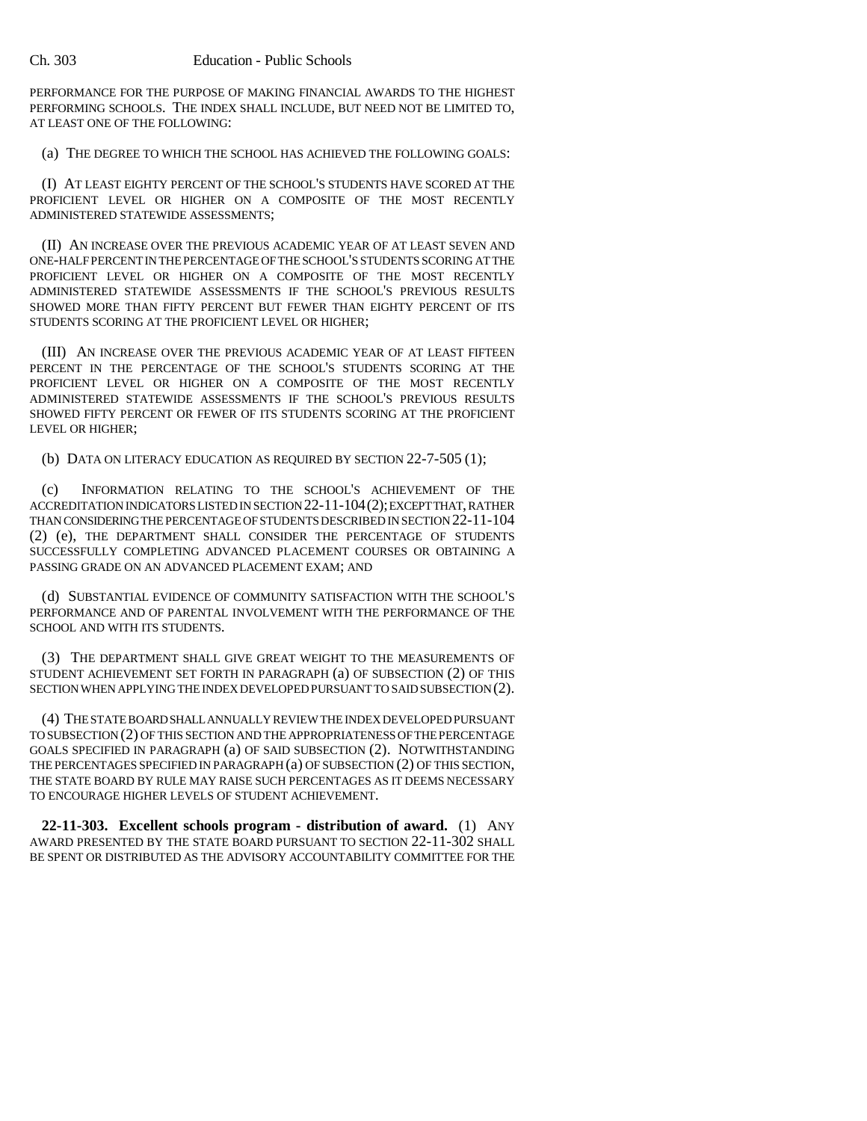PERFORMANCE FOR THE PURPOSE OF MAKING FINANCIAL AWARDS TO THE HIGHEST PERFORMING SCHOOLS. THE INDEX SHALL INCLUDE, BUT NEED NOT BE LIMITED TO, AT LEAST ONE OF THE FOLLOWING:

(a) THE DEGREE TO WHICH THE SCHOOL HAS ACHIEVED THE FOLLOWING GOALS:

(I) AT LEAST EIGHTY PERCENT OF THE SCHOOL'S STUDENTS HAVE SCORED AT THE PROFICIENT LEVEL OR HIGHER ON A COMPOSITE OF THE MOST RECENTLY ADMINISTERED STATEWIDE ASSESSMENTS;

(II) AN INCREASE OVER THE PREVIOUS ACADEMIC YEAR OF AT LEAST SEVEN AND ONE-HALF PERCENT IN THE PERCENTAGE OF THE SCHOOL'S STUDENTS SCORING AT THE PROFICIENT LEVEL OR HIGHER ON A COMPOSITE OF THE MOST RECENTLY ADMINISTERED STATEWIDE ASSESSMENTS IF THE SCHOOL'S PREVIOUS RESULTS SHOWED MORE THAN FIFTY PERCENT BUT FEWER THAN EIGHTY PERCENT OF ITS STUDENTS SCORING AT THE PROFICIENT LEVEL OR HIGHER;

(III) AN INCREASE OVER THE PREVIOUS ACADEMIC YEAR OF AT LEAST FIFTEEN PERCENT IN THE PERCENTAGE OF THE SCHOOL'S STUDENTS SCORING AT THE PROFICIENT LEVEL OR HIGHER ON A COMPOSITE OF THE MOST RECENTLY ADMINISTERED STATEWIDE ASSESSMENTS IF THE SCHOOL'S PREVIOUS RESULTS SHOWED FIFTY PERCENT OR FEWER OF ITS STUDENTS SCORING AT THE PROFICIENT LEVEL OR HIGHER;

(b) DATA ON LITERACY EDUCATION AS REQUIRED BY SECTION 22-7-505 (1);

(c) INFORMATION RELATING TO THE SCHOOL'S ACHIEVEMENT OF THE ACCREDITATION INDICATORS LISTED IN SECTION 22-11-104(2); EXCEPT THAT, RATHER THAN CONSIDERING THE PERCENTAGE OF STUDENTS DESCRIBED IN SECTION 22-11-104 (2) (e), THE DEPARTMENT SHALL CONSIDER THE PERCENTAGE OF STUDENTS SUCCESSFULLY COMPLETING ADVANCED PLACEMENT COURSES OR OBTAINING A PASSING GRADE ON AN ADVANCED PLACEMENT EXAM; AND

(d) SUBSTANTIAL EVIDENCE OF COMMUNITY SATISFACTION WITH THE SCHOOL'S PERFORMANCE AND OF PARENTAL INVOLVEMENT WITH THE PERFORMANCE OF THE SCHOOL AND WITH ITS STUDENTS.

(3) THE DEPARTMENT SHALL GIVE GREAT WEIGHT TO THE MEASUREMENTS OF STUDENT ACHIEVEMENT SET FORTH IN PARAGRAPH (a) OF SUBSECTION (2) OF THIS SECTION WHEN APPLYING THE INDEX DEVELOPED PURSUANT TO SAID SUBSECTION (2).

(4) THE STATE BOARD SHALL ANNUALLY REVIEW THE INDEX DEVELOPED PURSUANT TO SUBSECTION (2) OF THIS SECTION AND THE APPROPRIATENESS OF THE PERCENTAGE GOALS SPECIFIED IN PARAGRAPH (a) OF SAID SUBSECTION (2). NOTWITHSTANDING THE PERCENTAGES SPECIFIED IN PARAGRAPH (a) OF SUBSECTION (2) OF THIS SECTION, THE STATE BOARD BY RULE MAY RAISE SUCH PERCENTAGES AS IT DEEMS NECESSARY TO ENCOURAGE HIGHER LEVELS OF STUDENT ACHIEVEMENT.

**22-11-303. Excellent schools program - distribution of award.** (1) ANY AWARD PRESENTED BY THE STATE BOARD PURSUANT TO SECTION 22-11-302 SHALL BE SPENT OR DISTRIBUTED AS THE ADVISORY ACCOUNTABILITY COMMITTEE FOR THE